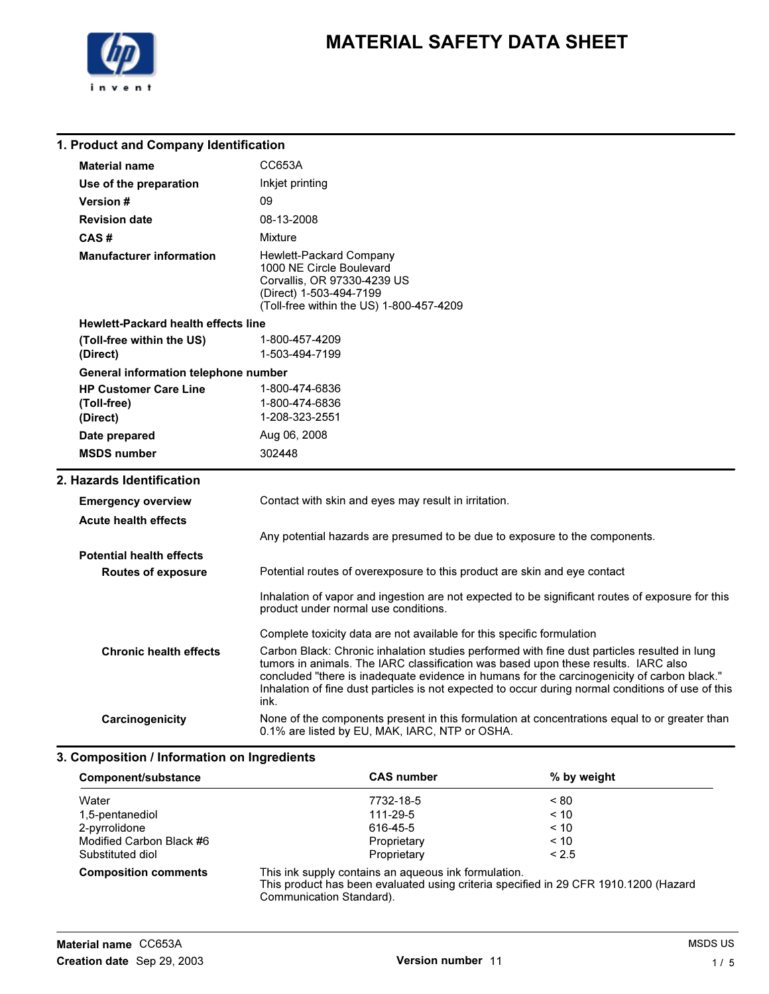

### 1. Product and Company Identification

| <b>Material name</b>                                    | CC653A                                                                                                                                                                                                                                                                                                                                                                                          |
|---------------------------------------------------------|-------------------------------------------------------------------------------------------------------------------------------------------------------------------------------------------------------------------------------------------------------------------------------------------------------------------------------------------------------------------------------------------------|
| Use of the preparation                                  | Inkjet printing                                                                                                                                                                                                                                                                                                                                                                                 |
| <b>Version #</b>                                        | 09                                                                                                                                                                                                                                                                                                                                                                                              |
| <b>Revision date</b>                                    | 08-13-2008                                                                                                                                                                                                                                                                                                                                                                                      |
| CAS#                                                    | Mixture                                                                                                                                                                                                                                                                                                                                                                                         |
| <b>Manufacturer information</b>                         | Hewlett-Packard Company<br>1000 NE Circle Boulevard<br>Corvallis, OR 97330-4239 US<br>(Direct) 1-503-494-7199<br>(Toll-free within the US) 1-800-457-4209                                                                                                                                                                                                                                       |
| <b>Hewlett-Packard health effects line</b>              |                                                                                                                                                                                                                                                                                                                                                                                                 |
| (Toll-free within the US)<br>(Direct)                   | 1-800-457-4209<br>1-503-494-7199                                                                                                                                                                                                                                                                                                                                                                |
| General information telephone number                    |                                                                                                                                                                                                                                                                                                                                                                                                 |
| <b>HP Customer Care Line</b><br>(Toll-free)<br>(Direct) | 1-800-474-6836<br>1-800-474-6836<br>1-208-323-2551                                                                                                                                                                                                                                                                                                                                              |
| Date prepared                                           | Aug 06, 2008                                                                                                                                                                                                                                                                                                                                                                                    |
|                                                         | 302448                                                                                                                                                                                                                                                                                                                                                                                          |
| <b>MSDS number</b>                                      |                                                                                                                                                                                                                                                                                                                                                                                                 |
| 2. Hazards Identification                               |                                                                                                                                                                                                                                                                                                                                                                                                 |
| <b>Emergency overview</b>                               | Contact with skin and eyes may result in irritation.                                                                                                                                                                                                                                                                                                                                            |
| <b>Acute health effects</b>                             |                                                                                                                                                                                                                                                                                                                                                                                                 |
|                                                         | Any potential hazards are presumed to be due to exposure to the components.                                                                                                                                                                                                                                                                                                                     |
| <b>Potential health effects</b>                         |                                                                                                                                                                                                                                                                                                                                                                                                 |
| <b>Routes of exposure</b>                               | Potential routes of overexposure to this product are skin and eye contact                                                                                                                                                                                                                                                                                                                       |
|                                                         | Inhalation of vapor and ingestion are not expected to be significant routes of exposure for this<br>product under normal use conditions.                                                                                                                                                                                                                                                        |
|                                                         | Complete toxicity data are not available for this specific formulation                                                                                                                                                                                                                                                                                                                          |
| <b>Chronic health effects</b>                           | Carbon Black: Chronic inhalation studies performed with fine dust particles resulted in lung<br>tumors in animals. The IARC classification was based upon these results. IARC also<br>concluded "there is inadequate evidence in humans for the carcinogenicity of carbon black."<br>Inhalation of fine dust particles is not expected to occur during normal conditions of use of this<br>ink. |

### 3. Composition / Information on Ingredients

| Component/substance         | <b>CAS number</b>                                                                                                                                                        | % by weight |
|-----------------------------|--------------------------------------------------------------------------------------------------------------------------------------------------------------------------|-------------|
| Water                       | 7732-18-5                                                                                                                                                                | ~< 80       |
| 1,5-pentanediol             | 111-29-5                                                                                                                                                                 | < 10        |
| 2-pyrrolidone               | 616-45-5                                                                                                                                                                 | < 10        |
| Modified Carbon Black #6    | Proprietary                                                                                                                                                              | $~<$ 10     |
| Substituted diol            | Proprietary                                                                                                                                                              | < 2.5       |
| <b>Composition comments</b> | This ink supply contains an aqueous ink formulation.<br>This product has been evaluated using criteria specified in 29 CFR 1910.1200 (Hazard<br>Communication Standard). |             |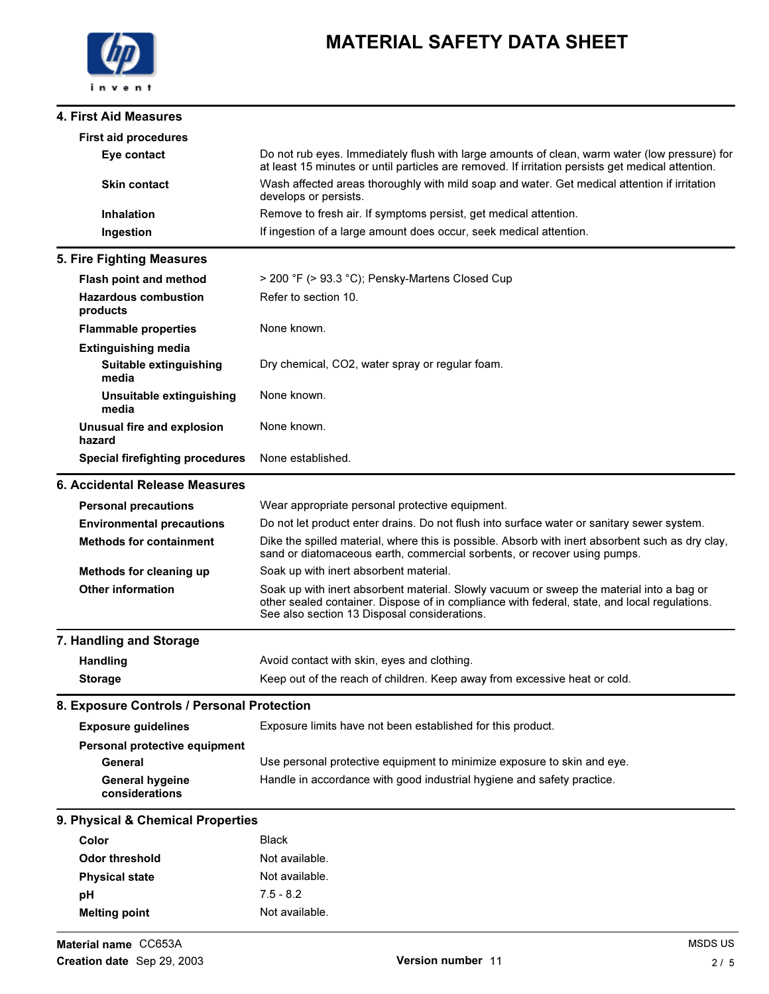#### 4. First Aid Measures

| <b>First aid procedures</b>                                   |                                                                                                                                                                                                                                          |
|---------------------------------------------------------------|------------------------------------------------------------------------------------------------------------------------------------------------------------------------------------------------------------------------------------------|
| Eye contact                                                   | Do not rub eyes. Immediately flush with large amounts of clean, warm water (low pressure) for<br>at least 15 minutes or until particles are removed. If irritation persists get medical attention.                                       |
| <b>Skin contact</b>                                           | Wash affected areas thoroughly with mild soap and water. Get medical attention if irritation<br>develops or persists.                                                                                                                    |
| <b>Inhalation</b>                                             | Remove to fresh air. If symptoms persist, get medical attention.                                                                                                                                                                         |
| Ingestion                                                     | If ingestion of a large amount does occur, seek medical attention.                                                                                                                                                                       |
| 5. Fire Fighting Measures                                     |                                                                                                                                                                                                                                          |
| <b>Flash point and method</b>                                 | > 200 °F (> 93.3 °C); Pensky-Martens Closed Cup                                                                                                                                                                                          |
| <b>Hazardous combustion</b><br>products                       | Refer to section 10.                                                                                                                                                                                                                     |
| <b>Flammable properties</b>                                   | None known.                                                                                                                                                                                                                              |
| <b>Extinguishing media</b><br>Suitable extinguishing<br>media | Dry chemical, CO2, water spray or regular foam.                                                                                                                                                                                          |
| Unsuitable extinguishing<br>media                             | None known.                                                                                                                                                                                                                              |
| <b>Unusual fire and explosion</b><br>hazard                   | None known.                                                                                                                                                                                                                              |
| <b>Special firefighting procedures</b>                        | None established.                                                                                                                                                                                                                        |
| 6. Accidental Release Measures                                |                                                                                                                                                                                                                                          |
| <b>Personal precautions</b>                                   | Wear appropriate personal protective equipment.                                                                                                                                                                                          |
| <b>Environmental precautions</b>                              | Do not let product enter drains. Do not flush into surface water or sanitary sewer system.                                                                                                                                               |
| <b>Methods for containment</b>                                | Dike the spilled material, where this is possible. Absorb with inert absorbent such as dry clay,<br>sand or diatomaceous earth, commercial sorbents, or recover using pumps.                                                             |
| Methods for cleaning up                                       | Soak up with inert absorbent material.                                                                                                                                                                                                   |
| <b>Other information</b>                                      | Soak up with inert absorbent material. Slowly vacuum or sweep the material into a bag or<br>other sealed container. Dispose of in compliance with federal, state, and local regulations.<br>See also section 13 Disposal considerations. |
| 7. Handling and Storage                                       |                                                                                                                                                                                                                                          |
| Handling                                                      | Avoid contact with skin, eyes and clothing.                                                                                                                                                                                              |
| <b>Storage</b>                                                | Keep out of the reach of children. Keep away from excessive heat or cold.                                                                                                                                                                |
| 8. Exposure Controls / Personal Protection                    |                                                                                                                                                                                                                                          |
| <b>Exposure guidelines</b>                                    | Exposure limits have not been established for this product.                                                                                                                                                                              |
| Personal protective equipment                                 |                                                                                                                                                                                                                                          |
| General                                                       | Use personal protective equipment to minimize exposure to skin and eye.                                                                                                                                                                  |
| <b>General hygeine</b><br>considerations                      | Handle in accordance with good industrial hygiene and safety practice.                                                                                                                                                                   |
| 9. Physical & Chemical Properties                             |                                                                                                                                                                                                                                          |
| Color                                                         | <b>Black</b>                                                                                                                                                                                                                             |
| <b>Odor threshold</b>                                         | Not available.                                                                                                                                                                                                                           |
| <b>Physical state</b>                                         | Not available.                                                                                                                                                                                                                           |
| pH                                                            | $7.5 - 8.2$                                                                                                                                                                                                                              |
| <b>Melting point</b>                                          | Not available.                                                                                                                                                                                                                           |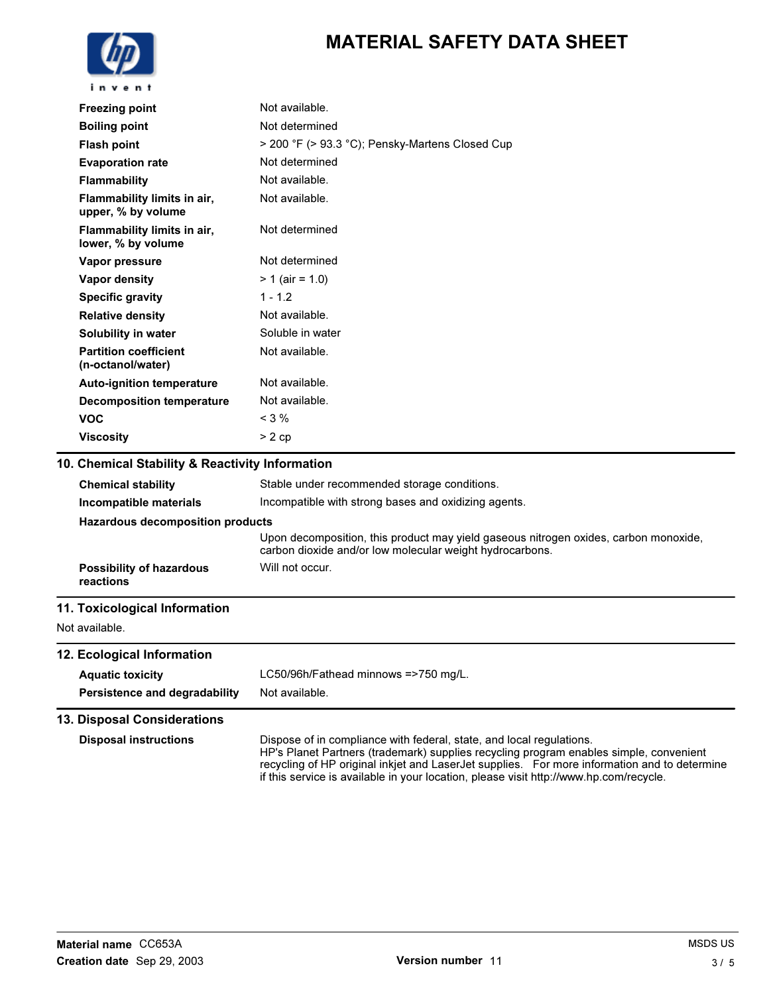

| <b>Freezing point</b>                             | Not available.                                      |
|---------------------------------------------------|-----------------------------------------------------|
| <b>Boiling point</b>                              | Not determined                                      |
| <b>Flash point</b>                                | > 200 °F (> 93.3 °C); Pensky-Martens Closed Cup     |
| <b>Evaporation rate</b>                           | Not determined                                      |
| <b>Flammability</b>                               | Not available.                                      |
| Flammability limits in air,<br>upper, % by volume | Not available.                                      |
| Flammability limits in air,<br>lower, % by volume | Not determined                                      |
| Vapor pressure                                    | Not determined                                      |
| Vapor density                                     | $> 1$ (air = 1.0)                                   |
| <b>Specific gravity</b>                           | $1 - 1.2$                                           |
| <b>Relative density</b>                           | Not available.                                      |
| Solubility in water                               | Soluble in water                                    |
| <b>Partition coefficient</b><br>(n-octanol/water) | Not available.                                      |
| <b>Auto-ignition temperature</b>                  | Not available.                                      |
| <b>Decomposition temperature</b>                  | Not available.                                      |
| <b>VOC</b>                                        | $<$ 3 $%$                                           |
| <b>Viscosity</b>                                  | $> 2$ cp                                            |
| 10. Chemical Stability & Reactivity Information   |                                                     |
| <b>Chemical stability</b>                         | Stable under recommended storage conditions.        |
| Incompatible materiale                            | Incompatible with strong bases and ovidizing agents |

**Incompatible materials Incompatible with strong bases and oxidizing agents.** Hazardous decomposition products Upon decomposition, this product may yield gaseous nitrogen oxides, carbon monoxide, carbon dioxide and/or low molecular weight hydrocarbons. Possibility of hazardous reactions Will not occur. 11. Toxicological Information

### Not available.

12. Ecological Information Aquatic toxicity LC50/96h/Fathead minnows =>750 mg/L. Persistence and degradability Not available.

#### 13. Disposal Considerations

Disposal instructions Dispose of in compliance with federal, state, and local regulations. HP's Planet Partners (trademark) supplies recycling program enables simple, convenient recycling of HP original inkjet and LaserJet supplies. For more information and to determine if this service is available in your location, please visit http://www.hp.com/recycle.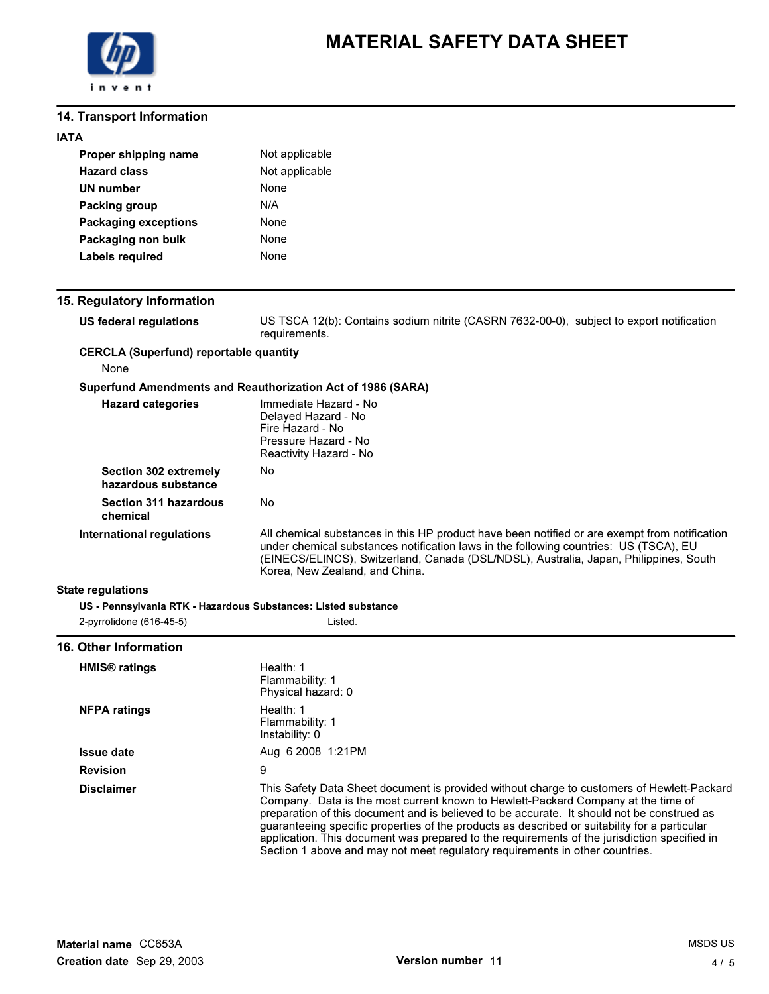

### 14. Transport Information

| Proper shipping name        | Not applicable |
|-----------------------------|----------------|
| <b>Hazard class</b>         | Not applicable |
| UN number                   | None           |
| Packing group               | N/A            |
| <b>Packaging exceptions</b> | None           |
| Packaging non bulk          | None           |
| Labels required             | None           |

## 15. Regulatory Information

| ). Regulatory information                             |                                                                                                                                                                                                                                                                                 |
|-------------------------------------------------------|---------------------------------------------------------------------------------------------------------------------------------------------------------------------------------------------------------------------------------------------------------------------------------|
| US federal regulations                                | US TSCA 12(b): Contains sodium nitrite (CASRN 7632-00-0), subject to export notification<br>requirements.                                                                                                                                                                       |
| <b>CERCLA (Superfund) reportable quantity</b><br>None |                                                                                                                                                                                                                                                                                 |
|                                                       |                                                                                                                                                                                                                                                                                 |
|                                                       | Superfund Amendments and Reauthorization Act of 1986 (SARA)                                                                                                                                                                                                                     |
| <b>Hazard categories</b>                              | Immediate Hazard - No<br>Delayed Hazard - No<br>Fire Hazard - No<br>Pressure Hazard - No<br>Reactivity Hazard - No                                                                                                                                                              |
| Section 302 extremely<br>hazardous substance          | No                                                                                                                                                                                                                                                                              |
| <b>Section 311 hazardous</b><br>chemical              | No                                                                                                                                                                                                                                                                              |
| International regulations                             | All chemical substances in this HP product have been notified or are exempt from notification<br>under chemical substances notification laws in the following countries: US (TSCA), EU<br>(EINECS/ELINCS), Switzerland, Canada (DSL/NDSL), Australia, Japan, Philippines, South |

Korea, New Zealand, and China.

#### State regulations

| US - Pennsylvania RTK - Hazardous Substances: Listed substance |         |
|----------------------------------------------------------------|---------|
| 2-pyrrolidone (616-45-5)                                       | Listed. |

#### 16. Other Information

| <b>HMIS<sup>®</sup></b> ratings | Health: 1<br>Flammability: 1<br>Physical hazard: 0                                                                                                                                                                                                                                                                                                                                                                                                                                                                                                             |
|---------------------------------|----------------------------------------------------------------------------------------------------------------------------------------------------------------------------------------------------------------------------------------------------------------------------------------------------------------------------------------------------------------------------------------------------------------------------------------------------------------------------------------------------------------------------------------------------------------|
| <b>NFPA ratings</b>             | Health: $1$<br>Flammability: 1<br>Instability: 0                                                                                                                                                                                                                                                                                                                                                                                                                                                                                                               |
| <b>Issue date</b>               | Aug 6 2008 1:21 PM                                                                                                                                                                                                                                                                                                                                                                                                                                                                                                                                             |
| <b>Revision</b>                 | 9                                                                                                                                                                                                                                                                                                                                                                                                                                                                                                                                                              |
| <b>Disclaimer</b>               | This Safety Data Sheet document is provided without charge to customers of Hewlett-Packard<br>Company. Data is the most current known to Hewlett-Packard Company at the time of<br>preparation of this document and is believed to be accurate. It should not be construed as<br>guaranteeing specific properties of the products as described or suitability for a particular<br>application. This document was prepared to the requirements of the jurisdiction specified in<br>Section 1 above and may not meet regulatory reguirements in other countries. |